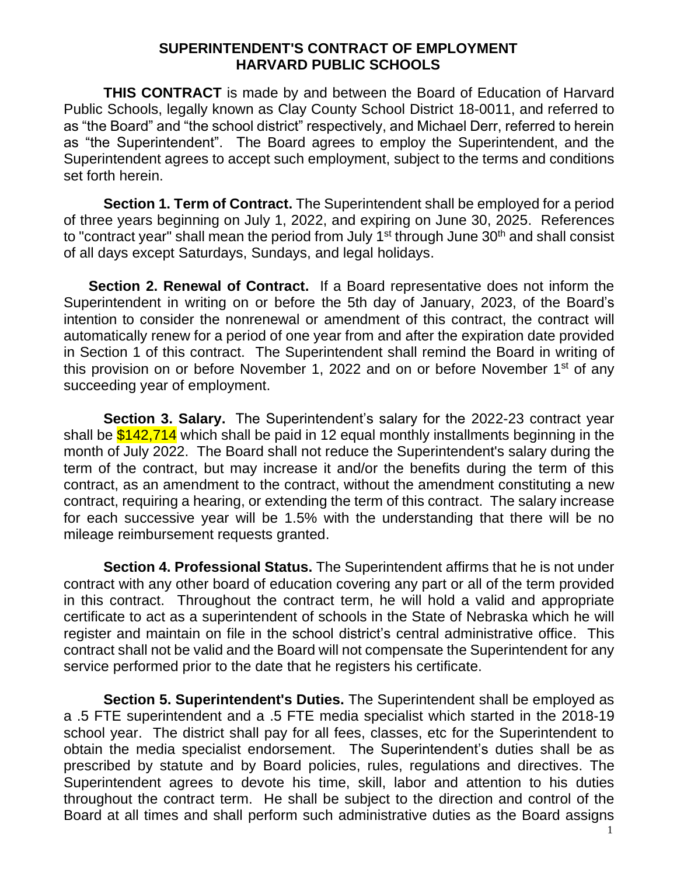## **SUPERINTENDENT'S CONTRACT OF EMPLOYMENT HARVARD PUBLIC SCHOOLS**

**THIS CONTRACT** is made by and between the Board of Education of Harvard Public Schools, legally known as Clay County School District 18-0011, and referred to as "the Board" and "the school district" respectively, and Michael Derr, referred to herein as "the Superintendent". The Board agrees to employ the Superintendent, and the Superintendent agrees to accept such employment, subject to the terms and conditions set forth herein.

**Section 1. Term of Contract.** The Superintendent shall be employed for a period of three years beginning on July 1, 2022, and expiring on June 30, 2025. References to "contract year" shall mean the period from July 1<sup>st</sup> through June 30<sup>th</sup> and shall consist of all days except Saturdays, Sundays, and legal holidays.

**Section 2. Renewal of Contract.** If a Board representative does not inform the Superintendent in writing on or before the 5th day of January, 2023, of the Board's intention to consider the nonrenewal or amendment of this contract, the contract will automatically renew for a period of one year from and after the expiration date provided in Section 1 of this contract. The Superintendent shall remind the Board in writing of this provision on or before November 1, 2022 and on or before November 1<sup>st</sup> of any succeeding year of employment.

**Section 3. Salary.** The Superintendent's salary for the 2022-23 contract year shall be  $$142,714$  which shall be paid in 12 equal monthly installments beginning in the month of July 2022. The Board shall not reduce the Superintendent's salary during the term of the contract, but may increase it and/or the benefits during the term of this contract, as an amendment to the contract, without the amendment constituting a new contract, requiring a hearing, or extending the term of this contract. The salary increase for each successive year will be 1.5% with the understanding that there will be no mileage reimbursement requests granted.

**Section 4. Professional Status.** The Superintendent affirms that he is not under contract with any other board of education covering any part or all of the term provided in this contract. Throughout the contract term, he will hold a valid and appropriate certificate to act as a superintendent of schools in the State of Nebraska which he will register and maintain on file in the school district's central administrative office. This contract shall not be valid and the Board will not compensate the Superintendent for any service performed prior to the date that he registers his certificate.

**Section 5. Superintendent's Duties.** The Superintendent shall be employed as a .5 FTE superintendent and a .5 FTE media specialist which started in the 2018-19 school year. The district shall pay for all fees, classes, etc for the Superintendent to obtain the media specialist endorsement. The Superintendent's duties shall be as prescribed by statute and by Board policies, rules, regulations and directives. The Superintendent agrees to devote his time, skill, labor and attention to his duties throughout the contract term. He shall be subject to the direction and control of the Board at all times and shall perform such administrative duties as the Board assigns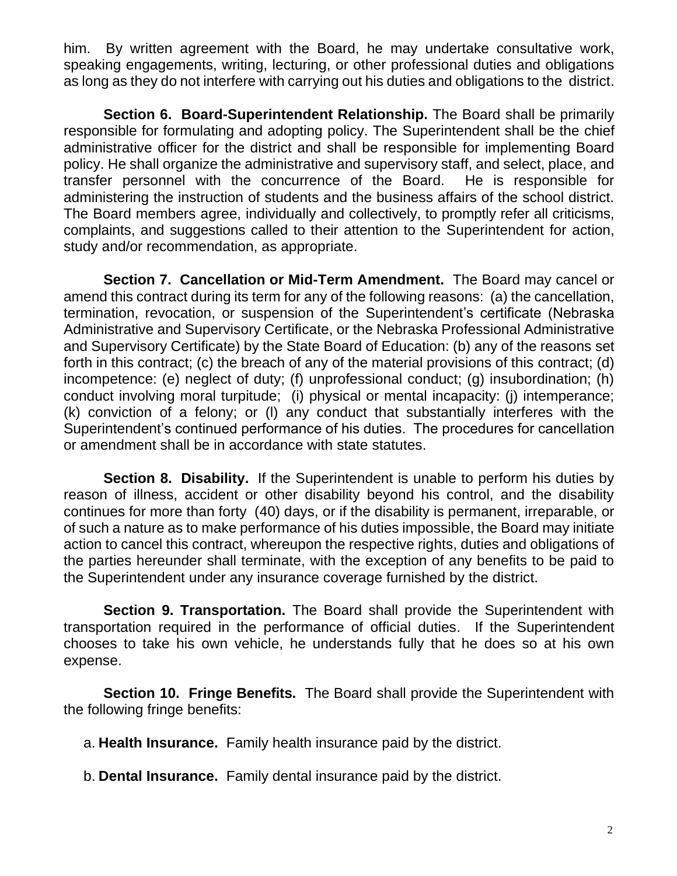him. By written agreement with the Board, he may undertake consultative work, speaking engagements, writing, lecturing, or other professional duties and obligations as long as they do not interfere with carrying out his duties and obligations to the district.

**Section 6. Board-Superintendent Relationship.** The Board shall be primarily responsible for formulating and adopting policy. The Superintendent shall be the chief administrative officer for the district and shall be responsible for implementing Board policy. He shall organize the administrative and supervisory staff, and select, place, and transfer personnel with the concurrence of the Board. He is responsible for administering the instruction of students and the business affairs of the school district. The Board members agree, individually and collectively, to promptly refer all criticisms, complaints, and suggestions called to their attention to the Superintendent for action, study and/or recommendation, as appropriate.

**Section 7. Cancellation or Mid-Term Amendment.** The Board may cancel or amend this contract during its term for any of the following reasons: (a) the cancellation, termination, revocation, or suspension of the Superintendent's certificate (Nebraska Administrative and Supervisory Certificate, or the Nebraska Professional Administrative and Supervisory Certificate) by the State Board of Education: (b) any of the reasons set forth in this contract; (c) the breach of any of the material provisions of this contract; (d) incompetence: (e) neglect of duty; (f) unprofessional conduct; (g) insubordination; (h) conduct involving moral turpitude; (i) physical or mental incapacity: (j) intemperance; (k) conviction of a felony; or (l) any conduct that substantially interferes with the Superintendent's continued performance of his duties. The procedures for cancellation or amendment shall be in accordance with state statutes.

**Section 8. Disability.** If the Superintendent is unable to perform his duties by reason of illness, accident or other disability beyond his control, and the disability continues for more than forty (40) days, or if the disability is permanent, irreparable, or of such a nature as to make performance of his duties impossible, the Board may initiate action to cancel this contract, whereupon the respective rights, duties and obligations of the parties hereunder shall terminate, with the exception of any benefits to be paid to the Superintendent under any insurance coverage furnished by the district.

**Section 9. Transportation.** The Board shall provide the Superintendent with transportation required in the performance of official duties. If the Superintendent chooses to take his own vehicle, he understands fully that he does so at his own expense.

**Section 10. Fringe Benefits.** The Board shall provide the Superintendent with the following fringe benefits:

a. **Health Insurance.** Family health insurance paid by the district.

b. **Dental Insurance.** Family dental insurance paid by the district.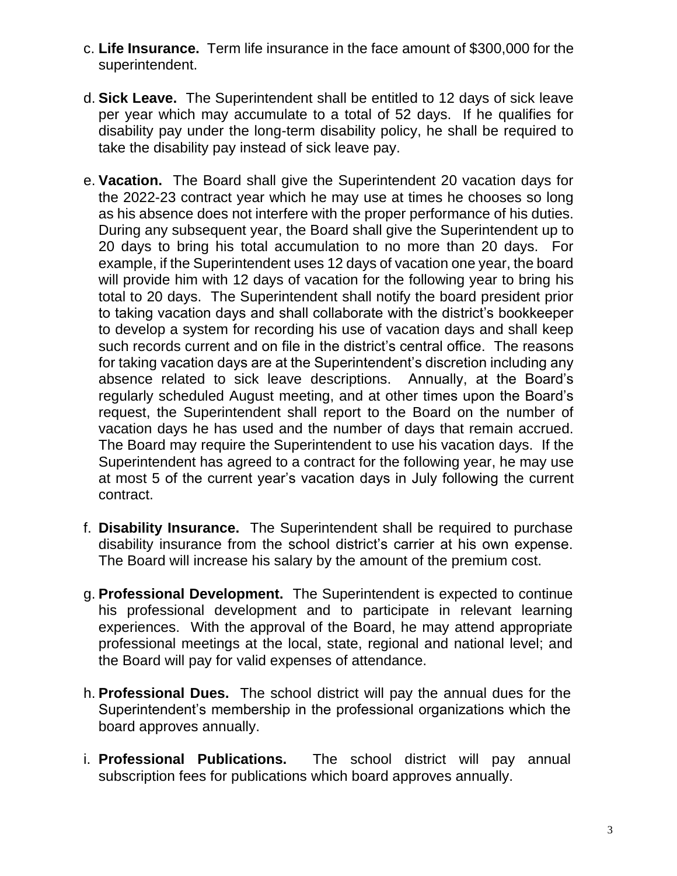- c. **Life Insurance.** Term life insurance in the face amount of \$300,000 for the superintendent.
- d. **Sick Leave.** The Superintendent shall be entitled to 12 days of sick leave per year which may accumulate to a total of 52 days. If he qualifies for disability pay under the long-term disability policy, he shall be required to take the disability pay instead of sick leave pay.
- e. **Vacation.** The Board shall give the Superintendent 20 vacation days for the 2022-23 contract year which he may use at times he chooses so long as his absence does not interfere with the proper performance of his duties. During any subsequent year, the Board shall give the Superintendent up to 20 days to bring his total accumulation to no more than 20 days. For example, if the Superintendent uses 12 days of vacation one year, the board will provide him with 12 days of vacation for the following year to bring his total to 20 days. The Superintendent shall notify the board president prior to taking vacation days and shall collaborate with the district's bookkeeper to develop a system for recording his use of vacation days and shall keep such records current and on file in the district's central office. The reasons for taking vacation days are at the Superintendent's discretion including any absence related to sick leave descriptions. Annually, at the Board's regularly scheduled August meeting, and at other times upon the Board's request, the Superintendent shall report to the Board on the number of vacation days he has used and the number of days that remain accrued. The Board may require the Superintendent to use his vacation days. If the Superintendent has agreed to a contract for the following year, he may use at most 5 of the current year's vacation days in July following the current contract.
- f. **Disability Insurance.** The Superintendent shall be required to purchase disability insurance from the school district's carrier at his own expense. The Board will increase his salary by the amount of the premium cost.
- g. **Professional Development.** The Superintendent is expected to continue his professional development and to participate in relevant learning experiences. With the approval of the Board, he may attend appropriate professional meetings at the local, state, regional and national level; and the Board will pay for valid expenses of attendance.
- h. **Professional Dues.** The school district will pay the annual dues for the Superintendent's membership in the professional organizations which the board approves annually.
- i. **Professional Publications.** The school district will pay annual subscription fees for publications which board approves annually.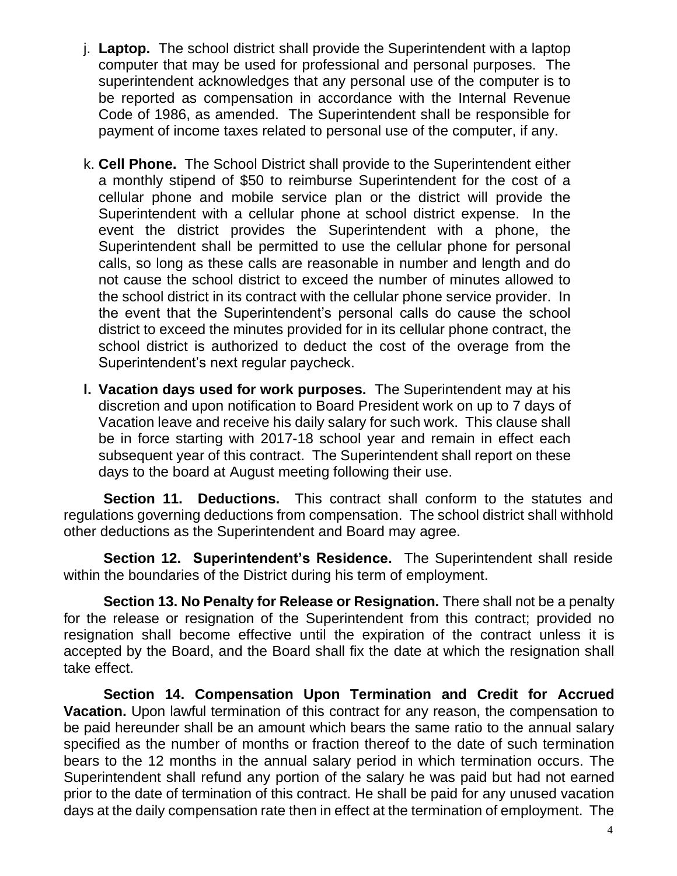- j. **Laptop.** The school district shall provide the Superintendent with a laptop computer that may be used for professional and personal purposes. The superintendent acknowledges that any personal use of the computer is to be reported as compensation in accordance with the Internal Revenue Code of 1986, as amended. The Superintendent shall be responsible for payment of income taxes related to personal use of the computer, if any.
- k. **Cell Phone.** The School District shall provide to the Superintendent either a monthly stipend of \$50 to reimburse Superintendent for the cost of a cellular phone and mobile service plan or the district will provide the Superintendent with a cellular phone at school district expense. In the event the district provides the Superintendent with a phone, the Superintendent shall be permitted to use the cellular phone for personal calls, so long as these calls are reasonable in number and length and do not cause the school district to exceed the number of minutes allowed to the school district in its contract with the cellular phone service provider. In the event that the Superintendent's personal calls do cause the school district to exceed the minutes provided for in its cellular phone contract, the school district is authorized to deduct the cost of the overage from the Superintendent's next regular paycheck.
- **l. Vacation days used for work purposes.** The Superintendent may at his discretion and upon notification to Board President work on up to 7 days of Vacation leave and receive his daily salary for such work. This clause shall be in force starting with 2017-18 school year and remain in effect each subsequent year of this contract. The Superintendent shall report on these days to the board at August meeting following their use.

**Section 11. Deductions.** This contract shall conform to the statutes and regulations governing deductions from compensation. The school district shall withhold other deductions as the Superintendent and Board may agree.

**Section 12. Superintendent's Residence.** The Superintendent shall reside within the boundaries of the District during his term of employment.

**Section 13. No Penalty for Release or Resignation.** There shall not be a penalty for the release or resignation of the Superintendent from this contract; provided no resignation shall become effective until the expiration of the contract unless it is accepted by the Board, and the Board shall fix the date at which the resignation shall take effect.

**Section 14. Compensation Upon Termination and Credit for Accrued Vacation.** Upon lawful termination of this contract for any reason, the compensation to be paid hereunder shall be an amount which bears the same ratio to the annual salary specified as the number of months or fraction thereof to the date of such termination bears to the 12 months in the annual salary period in which termination occurs. The Superintendent shall refund any portion of the salary he was paid but had not earned prior to the date of termination of this contract. He shall be paid for any unused vacation days at the daily compensation rate then in effect at the termination of employment. The